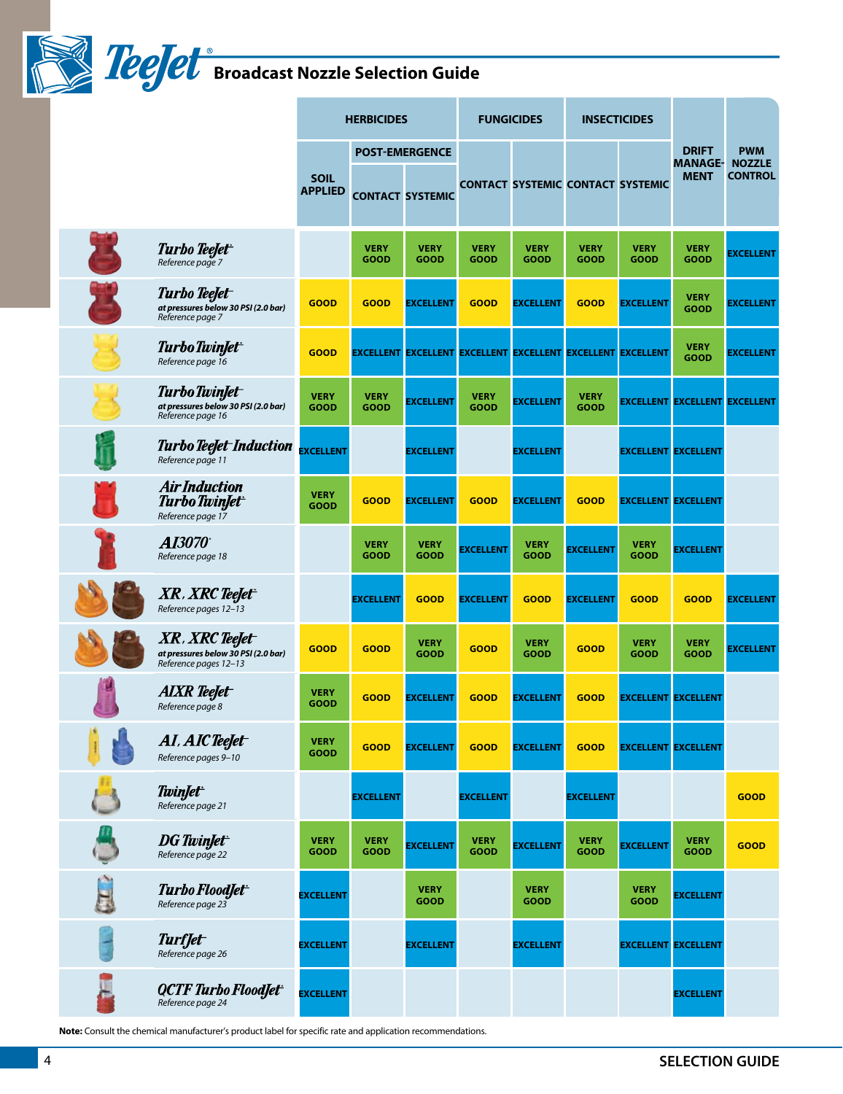**Broadcast Nozzle Selection Guide** 

|                                                                                | <b>HERBICIDES</b>             |                     | <b>FUNGICIDES</b>          |                            | <b>INSECTICIDES</b>                                         |                            | <b>DRIFT</b><br><b>MANAGE-</b> | <b>PWM</b><br><b>NOZZLE</b>          |                  |
|--------------------------------------------------------------------------------|-------------------------------|---------------------|----------------------------|----------------------------|-------------------------------------------------------------|----------------------------|--------------------------------|--------------------------------------|------------------|
|                                                                                | <b>POST-EMERGENCE</b>         |                     |                            |                            |                                                             |                            |                                |                                      |                  |
|                                                                                | <b>SOIL</b><br><b>APPLIED</b> |                     | <b>CONTACT SYSTEMIC</b>    |                            | <b>CONTACT SYSTEMIC CONTACT SYSTEMIC</b>                    |                            |                                | <b>MENT</b>                          | <b>CONTROL</b>   |
| <b>Turbo TeeJet</b><br>Reference page 7                                        |                               | <b>VERY</b><br>GOOD | <b>VERY</b><br>GOOD        | <b>VERY</b><br><b>GOOD</b> | <b>VERY</b><br>GOOD                                         | <b>VERY</b><br>GOOD        | <b>VERY</b><br><b>GOOD</b>     | <b>VERY</b><br>GOOD                  | <b>EXCELLENT</b> |
| Turbo TeeJet<br>at pressures below 30 PSI (2.0 bar)<br>Reference page 7        | <b>GOOD</b>                   | <b>GOOD</b>         | <b>EXCELLENT</b>           | <b>GOOD</b>                | <b>EXCELLENT</b>                                            | <b>GOOD</b>                | <b>EXCELLENT</b>               | <b>VERY</b><br>GOOD                  | <b>EXCELLENT</b> |
| Turbo TwinJet <sup>+</sup><br>Reference page 16                                | <b>GOOD</b>                   |                     |                            |                            | EXCELLENT EXCELLENT EXCELLENT EXCELLENT EXCELLENT EXCELLENT |                            |                                | <b>VERY</b><br>GOOD                  | <b>EXCELLENT</b> |
| Turbo TwinJet<br>at pressures below 30 PSI (2.0 bar)<br>Reference page 16      | <b>VERY</b><br>GOOD           | <b>VERY</b><br>GOOD | <b>EXCELLENT</b>           | <b>VERY</b><br><b>GOOD</b> | <b>EXCELLENT</b>                                            | <b>VERY</b><br><b>GOOD</b> |                                | <b>EXCELLENT EXCELLENT EXCELLENT</b> |                  |
| <b>Turbo TeeJet-Induction</b><br>Reference page 11                             | <b>EXCELLENT</b>              |                     | <b>EXCELLENT</b>           |                            | <b>EXCELLENT</b>                                            |                            |                                | <b>EXCELLENT EXCELLENT</b>           |                  |
| <b>Air Induction</b><br>Turbo TwinJet <sup>+</sup><br>Reference page 17        | <b>VERY</b><br>GOOD           | <b>GOOD</b>         | <b>EXCELLENT</b>           | <b>GOOD</b>                | <b>EXCELLENT</b>                                            | <b>GOOD</b>                | <b>EXCELLENT EXCELLENT</b>     |                                      |                  |
| <i><b>AI3070</b></i><br>Reference page 18                                      |                               | <b>VERY</b><br>GOOD | <b>VERY</b><br>GOOD        | <b>EXCELLENT</b>           | <b>VERY</b><br><b>GOOD</b>                                  | <b>EXCELLENT</b>           | <b>VERY</b><br>GOOD            | <b>EXCELLENT</b>                     |                  |
| XR , XRC TeeJet <sup>-</sup><br>Reference pages 12-13                          |                               | <b>EXCELLENT</b>    | <b>GOOD</b>                | <b>EXCELLENT</b>           | <b>GOOD</b>                                                 | <b>EXCELLENT</b>           | <b>GOOD</b>                    | <b>GOOD</b>                          | <b>EXCELLENT</b> |
| XR, XRC TeeJet<br>at pressures below 30 PSI (2.0 bar)<br>Reference pages 12-13 | <b>GOOD</b>                   | <b>GOOD</b>         | <b>VERY</b><br><b>GOOD</b> | <b>GOOD</b>                | <b>VERY</b><br><b>GOOD</b>                                  | <b>GOOD</b>                | <b>VERY</b><br><b>GOOD</b>     | <b>VERY</b><br>GOOD                  | <b>EXCELLENT</b> |
| <b>AIXR</b> TeeJet<br>Reference page 8                                         | <b>VERY</b><br>GOOD           | <b>GOOD</b>         | <b>EXCELLENT</b>           | <b>GOOD</b>                | <b>EXCELLENT</b>                                            | <b>GOOD</b>                |                                | <b>EXCELLENT EXCELLENT</b>           |                  |
| AI, AIC TeeJet<br>Reference pages 9-10                                         | <b>VERY</b><br>GOOD           | <b>GOOD</b>         | <b>EXCELLENT</b>           | <b>GOOD</b>                | <b>EXCELLENT</b>                                            | <b>GOOD</b>                |                                | <b>EXCELLENT EXCELLENT</b>           |                  |
| <b>TwinJet</b><br>Reference page 21                                            |                               | <b>EXCELLENT</b>    |                            | <b>EXCELLENT</b>           |                                                             | <b>EXCELLENT</b>           |                                |                                      | <b>GOOD</b>      |
| <b>DG</b> TwinJet <sup>+</sup><br>Reference page 22                            | <b>VERY</b><br><b>GOOD</b>    | <b>VERY</b><br>GOOD | <b>EXCELLENT</b>           | <b>VERY</b><br><b>GOOD</b> | <b>EXCELLENT</b>                                            | <b>VERY</b><br>GOOD        | <b>EXCELLENT</b>               | <b>VERY</b><br>GOOD                  | <b>GOOD</b>      |
| Turbo FloodJet <sup>+</sup><br>Reference page 23                               | <b>EXCELLENT</b>              |                     | <b>VERY</b><br>GOOD        |                            | <b>VERY</b><br><b>GOOD</b>                                  |                            | <b>VERY</b><br>GOOD            | <b>EXCELLENT</b>                     |                  |
| <b>Turffet</b><br>Reference page 26                                            | <b>EXCELLENT</b>              |                     | <b>EXCELLENT</b>           |                            | <b>EXCELLENT</b>                                            |                            | <b>EXCELLENT EXCELLENT</b>     |                                      |                  |
| QCTF Turbo FloodJet<br>Reference page 24                                       | <b>EXCELLENT</b>              |                     |                            |                            |                                                             |                            |                                | <b>EXCELLENT</b>                     |                  |

**Note:** Consult the chemical manufacturer's product label for specific rate and application recommendations.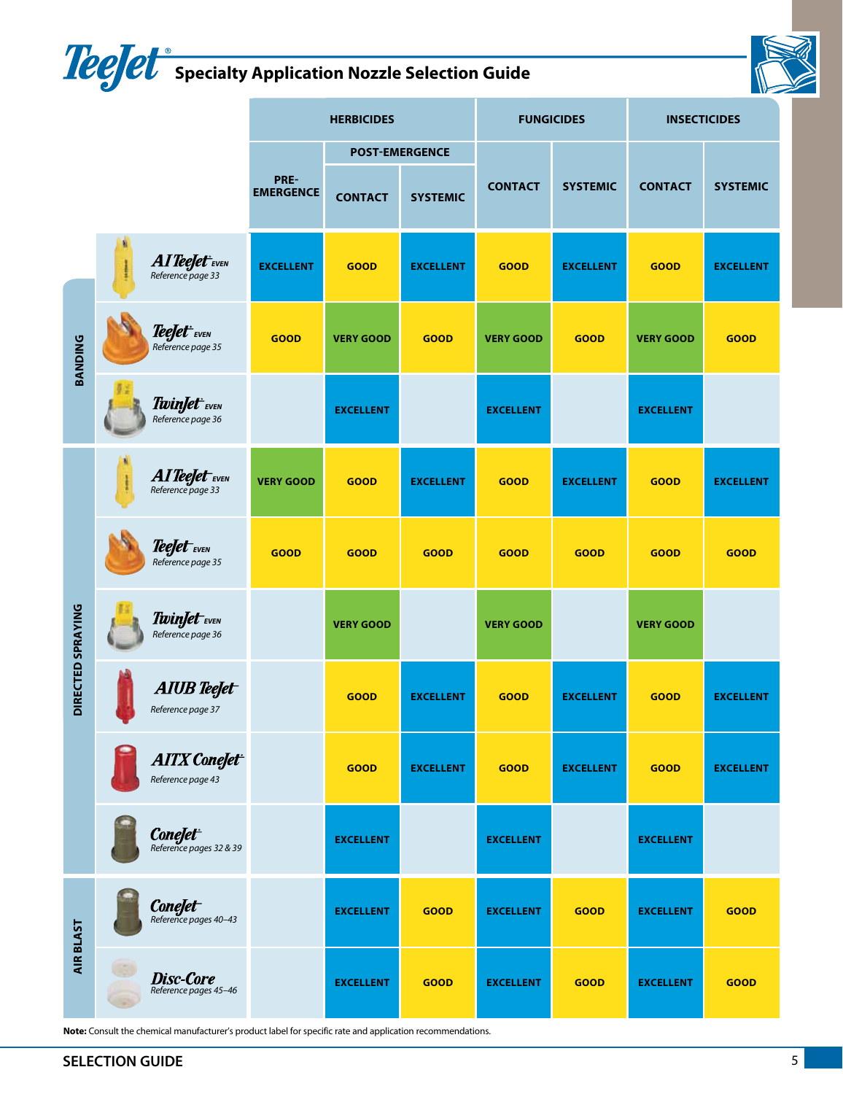## **Specialty application Nozzle Selection Guide**



|                   |  |                                                          | <b>HERBICIDES</b>        |                  |                  | <b>FUNGICIDES</b> |                  | <b>INSECTICIDES</b> |                  |
|-------------------|--|----------------------------------------------------------|--------------------------|------------------|------------------|-------------------|------------------|---------------------|------------------|
|                   |  |                                                          | <b>POST-EMERGENCE</b>    |                  |                  |                   |                  |                     |                  |
|                   |  |                                                          | PRE-<br><b>EMERGENCE</b> | <b>CONTACT</b>   | <b>SYSTEMIC</b>  | <b>CONTACT</b>    | <b>SYSTEMIC</b>  | <b>CONTACT</b>      | <b>SYSTEMIC</b>  |
|                   |  | $\it{AI}$ TeeJet <sup>+</sup> EVEN<br>Reference page 33  | <b>EXCELLENT</b>         | <b>GOOD</b>      | <b>EXCELLENT</b> | <b>GOOD</b>       | <b>EXCELLENT</b> | <b>GOOD</b>         | <b>EXCELLENT</b> |
| <b>BANDING</b>    |  | TeeJet <sup>+</sup> <sub>EVEN</sub><br>Reference page 35 | <b>GOOD</b>              | <b>VERY GOOD</b> | <b>GOOD</b>      | <b>VERY GOOD</b>  | <b>GOOD</b>      | <b>VERY GOOD</b>    | <b>GOOD</b>      |
|                   |  | TwinJet <sup>+</sup> EVEN<br>Reference page 36           |                          | <b>EXCELLENT</b> |                  | <b>EXCELLENT</b>  |                  | <b>EXCELLENT</b>    |                  |
| DIRECTED SPRAYING |  | AI TeeJet EVEN<br>Reference page 33                      | <b>VERY GOOD</b>         | <b>GOOD</b>      | <b>EXCELLENT</b> | <b>GOOD</b>       | <b>EXCELLENT</b> | <b>GOOD</b>         | <b>EXCELLENT</b> |
|                   |  | TeeJet <sub>EVEN</sub><br>Reference page 35              | <b>GOOD</b>              | <b>GOOD</b>      | <b>GOOD</b>      | <b>GOOD</b>       | <b>GOOD</b>      | <b>GOOD</b>         | <b>GOOD</b>      |
|                   |  | TwinJet EVEN<br>Reference page 36                        |                          | <b>VERY GOOD</b> |                  | <b>VERY GOOD</b>  |                  | <b>VERY GOOD</b>    |                  |
|                   |  | AIUB TeeJet<br>Reference page 37                         |                          | <b>GOOD</b>      | <b>EXCELLENT</b> | <b>GOOD</b>       | <b>EXCELLENT</b> | <b>GOOD</b>         | <b>EXCELLENT</b> |
|                   |  | <b>AITX</b> ConeJet <sup>+</sup><br>Reference page 43    |                          | <b>GOOD</b>      | <b>EXCELLENT</b> | <b>GOOD</b>       | <b>EXCELLENT</b> | <b>GOOD</b>         | <b>EXCELLENT</b> |
|                   |  | <b>ConeJet</b><br>Reference pages 32 & 39                |                          | <b>EXCELLENT</b> |                  | <b>EXCELLENT</b>  |                  | <b>EXCELLENT</b>    |                  |
| AIR BLAST         |  | <b>ConeJet</b><br>Reference pages 40-43                  |                          | <b>EXCELLENT</b> | <b>GOOD</b>      | <b>EXCELLENT</b>  | <b>GOOD</b>      | <b>EXCELLENT</b>    | <b>GOOD</b>      |
|                   |  | <b>Disc-Core</b><br>Reference pages 45-46                |                          | <b>EXCELLENT</b> | <b>GOOD</b>      | <b>EXCELLENT</b>  | <b>GOOD</b>      | <b>EXCELLENT</b>    | <b>GOOD</b>      |

**Note:** Consult the chemical manufacturer's product label for specific rate and application recommendations.